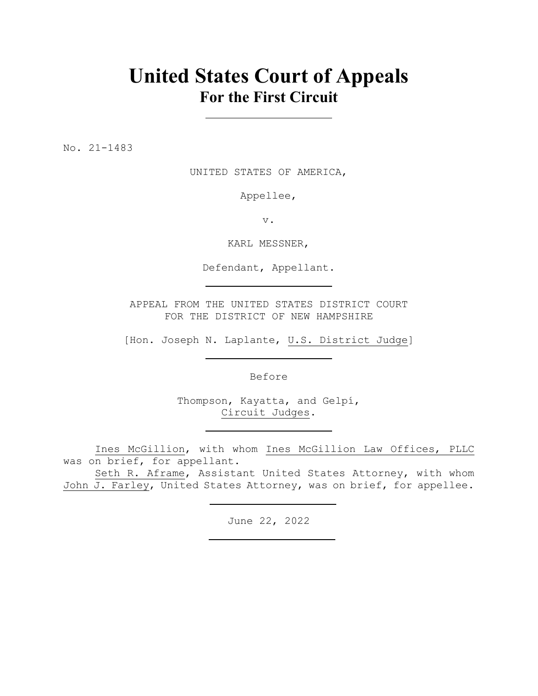## **United States Court of Appeals For the First Circuit**

No. 21-1483

UNITED STATES OF AMERICA,

Appellee,

v.

KARL MESSNER,

Defendant, Appellant.

APPEAL FROM THE UNITED STATES DISTRICT COURT FOR THE DISTRICT OF NEW HAMPSHIRE

[Hon. Joseph N. Laplante, U.S. District Judge]

Before

Thompson, Kayatta, and Gelpí, Circuit Judges.

Ines McGillion, with whom Ines McGillion Law Offices, PLLC was on brief, for appellant.

Seth R. Aframe, Assistant United States Attorney, with whom John J. Farley, United States Attorney, was on brief, for appellee.

June 22, 2022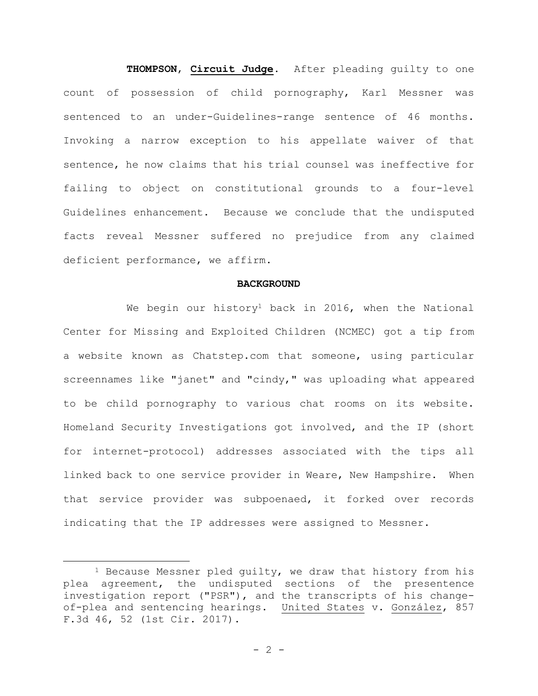**THOMPSON**, **Circuit Judge**. After pleading guilty to one count of possession of child pornography, Karl Messner was sentenced to an under-Guidelines-range sentence of 46 months. Invoking a narrow exception to his appellate waiver of that sentence, he now claims that his trial counsel was ineffective for failing to object on constitutional grounds to a four-level Guidelines enhancement. Because we conclude that the undisputed facts reveal Messner suffered no prejudice from any claimed deficient performance, we affirm.

## **BACKGROUND**

We begin our history<sup>1</sup> back in 2016, when the National Center for Missing and Exploited Children (NCMEC) got a tip from a website known as Chatstep.com that someone, using particular screennames like "janet" and "cindy," was uploading what appeared to be child pornography to various chat rooms on its website. Homeland Security Investigations got involved, and the IP (short for internet-protocol) addresses associated with the tips all linked back to one service provider in Weare, New Hampshire. When that service provider was subpoenaed, it forked over records indicating that the IP addresses were assigned to Messner.

<sup>&</sup>lt;sup>1</sup> Because Messner pled quilty, we draw that history from his plea agreement, the undisputed sections of the presentence investigation report ("PSR"), and the transcripts of his changeof-plea and sentencing hearings. United States v. González, 857 F.3d 46, 52 (1st Cir. 2017).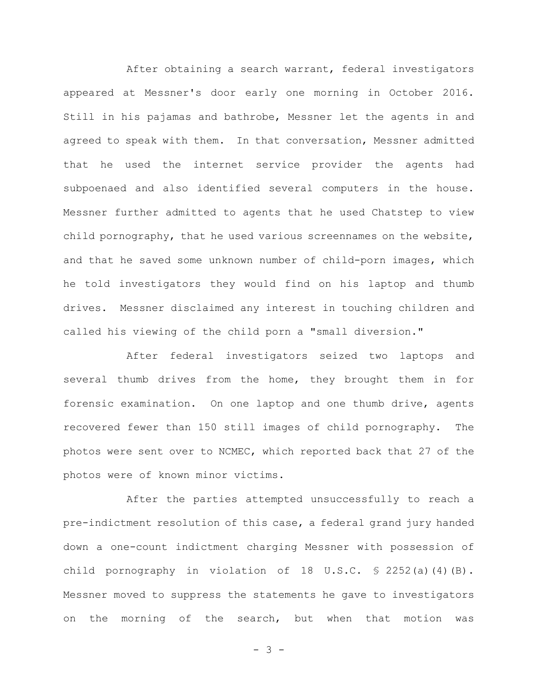After obtaining a search warrant, federal investigators appeared at Messner's door early one morning in October 2016. Still in his pajamas and bathrobe, Messner let the agents in and agreed to speak with them. In that conversation, Messner admitted that he used the internet service provider the agents had subpoenaed and also identified several computers in the house. Messner further admitted to agents that he used Chatstep to view child pornography, that he used various screennames on the website, and that he saved some unknown number of child-porn images, which he told investigators they would find on his laptop and thumb drives. Messner disclaimed any interest in touching children and called his viewing of the child porn a "small diversion."

After federal investigators seized two laptops and several thumb drives from the home, they brought them in for forensic examination. On one laptop and one thumb drive, agents recovered fewer than 150 still images of child pornography. The photos were sent over to NCMEC, which reported back that 27 of the photos were of known minor victims.

After the parties attempted unsuccessfully to reach a pre-indictment resolution of this case, a federal grand jury handed down a one-count indictment charging Messner with possession of child pornography in violation of 18 U.S.C. § 2252(a)(4)(B). Messner moved to suppress the statements he gave to investigators on the morning of the search, but when that motion was

 $- 3 -$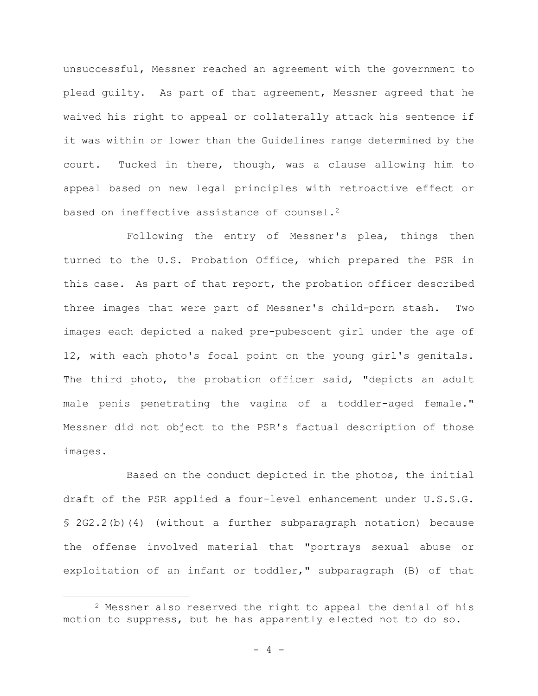unsuccessful, Messner reached an agreement with the government to plead guilty. As part of that agreement, Messner agreed that he waived his right to appeal or collaterally attack his sentence if it was within or lower than the Guidelines range determined by the court. Tucked in there, though, was a clause allowing him to appeal based on new legal principles with retroactive effect or based on ineffective assistance of counsel.<sup>2</sup>

Following the entry of Messner's plea, things then turned to the U.S. Probation Office, which prepared the PSR in this case. As part of that report, the probation officer described three images that were part of Messner's child-porn stash. Two images each depicted a naked pre-pubescent girl under the age of 12, with each photo's focal point on the young girl's genitals. The third photo, the probation officer said, "depicts an adult male penis penetrating the vagina of a toddler-aged female." Messner did not object to the PSR's factual description of those images.

Based on the conduct depicted in the photos, the initial draft of the PSR applied a four-level enhancement under U.S.S.G. § 2G2.2(b)(4) (without a further subparagraph notation) because the offense involved material that "portrays sexual abuse or exploitation of an infant or toddler," subparagraph (B) of that

<sup>2</sup> Messner also reserved the right to appeal the denial of his motion to suppress, but he has apparently elected not to do so.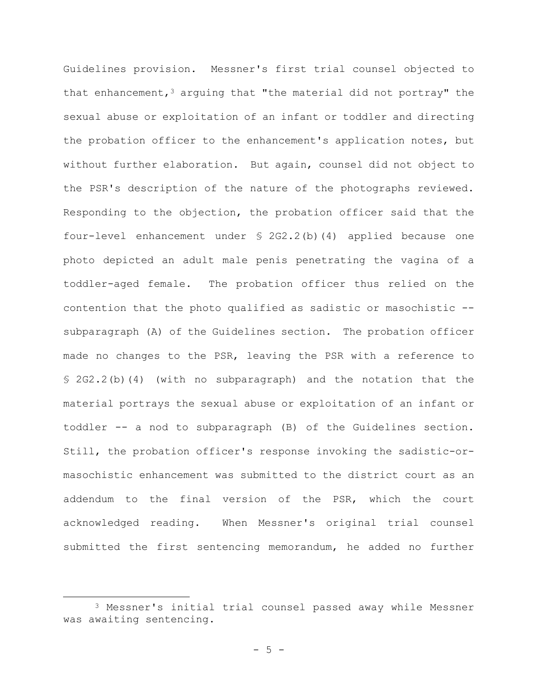Guidelines provision. Messner's first trial counsel objected to that enhancement,  $3$  arguing that "the material did not portray" the sexual abuse or exploitation of an infant or toddler and directing the probation officer to the enhancement's application notes, but without further elaboration. But again, counsel did not object to the PSR's description of the nature of the photographs reviewed. Responding to the objection, the probation officer said that the four-level enhancement under § 2G2.2(b)(4) applied because one photo depicted an adult male penis penetrating the vagina of a toddler-aged female. The probation officer thus relied on the contention that the photo qualified as sadistic or masochistic - subparagraph (A) of the Guidelines section. The probation officer made no changes to the PSR, leaving the PSR with a reference to § 2G2.2(b)(4) (with no subparagraph) and the notation that the material portrays the sexual abuse or exploitation of an infant or toddler -- a nod to subparagraph (B) of the Guidelines section. Still, the probation officer's response invoking the sadistic-ormasochistic enhancement was submitted to the district court as an addendum to the final version of the PSR, which the court acknowledged reading. When Messner's original trial counsel submitted the first sentencing memorandum, he added no further

<sup>3</sup> Messner's initial trial counsel passed away while Messner was awaiting sentencing.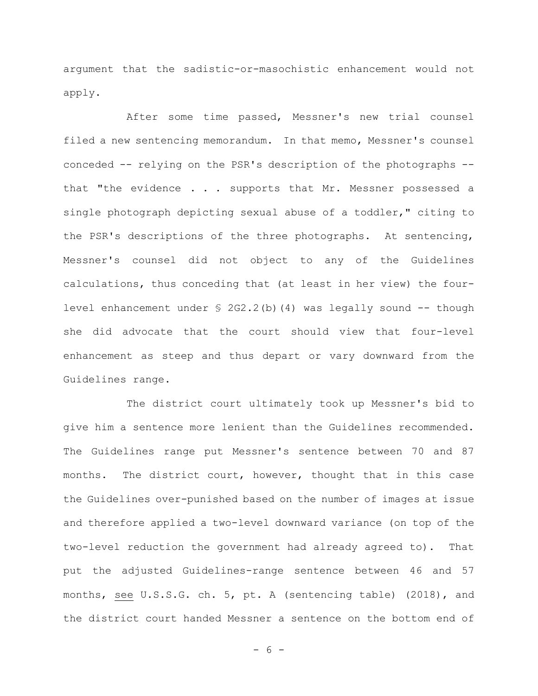argument that the sadistic-or-masochistic enhancement would not apply.

After some time passed, Messner's new trial counsel filed a new sentencing memorandum. In that memo, Messner's counsel conceded -- relying on the PSR's description of the photographs - that "the evidence . . . supports that Mr. Messner possessed a single photograph depicting sexual abuse of a toddler," citing to the PSR's descriptions of the three photographs. At sentencing, Messner's counsel did not object to any of the Guidelines calculations, thus conceding that (at least in her view) the fourlevel enhancement under  $\S$  2G2.2(b)(4) was legally sound  $--$  though she did advocate that the court should view that four-level enhancement as steep and thus depart or vary downward from the Guidelines range.

The district court ultimately took up Messner's bid to give him a sentence more lenient than the Guidelines recommended. The Guidelines range put Messner's sentence between 70 and 87 months. The district court, however, thought that in this case the Guidelines over-punished based on the number of images at issue and therefore applied a two-level downward variance (on top of the two-level reduction the government had already agreed to). That put the adjusted Guidelines-range sentence between 46 and 57 months, see U.S.S.G. ch. 5, pt. A (sentencing table) (2018), and the district court handed Messner a sentence on the bottom end of

- 6 -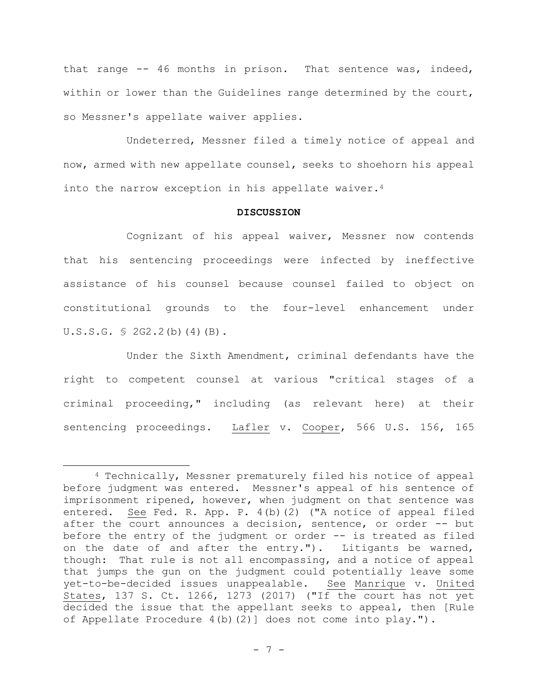that range -- 46 months in prison. That sentence was, indeed, within or lower than the Guidelines range determined by the court, so Messner's appellate waiver applies.

Undeterred, Messner filed a timely notice of appeal and now, armed with new appellate counsel, seeks to shoehorn his appeal into the narrow exception in his appellate waiver.<sup>4</sup>

## **DISCUSSION**

Cognizant of his appeal waiver, Messner now contends that his sentencing proceedings were infected by ineffective assistance of his counsel because counsel failed to object on constitutional grounds to the four-level enhancement under U.S.S.G. § 2G2.2(b)(4)(B).

Under the Sixth Amendment, criminal defendants have the right to competent counsel at various "critical stages of a criminal proceeding," including (as relevant here) at their sentencing proceedings. Lafler v. Cooper, 566 U.S. 156, 165

<sup>4</sup> Technically, Messner prematurely filed his notice of appeal before judgment was entered. Messner's appeal of his sentence of imprisonment ripened, however, when judgment on that sentence was entered. See Fed. R. App. P. 4(b)(2) ("A notice of appeal filed after the court announces a decision, sentence, or order -- but before the entry of the judgment or order -- is treated as filed on the date of and after the entry."). Litigants be warned, though: That rule is not all encompassing, and a notice of appeal that jumps the gun on the judgment could potentially leave some yet-to-be-decided issues unappealable. See Manrique v. United States, 137 S. Ct. 1266, 1273 (2017) ("If the court has not yet decided the issue that the appellant seeks to appeal, then [Rule of Appellate Procedure 4(b)(2)] does not come into play.").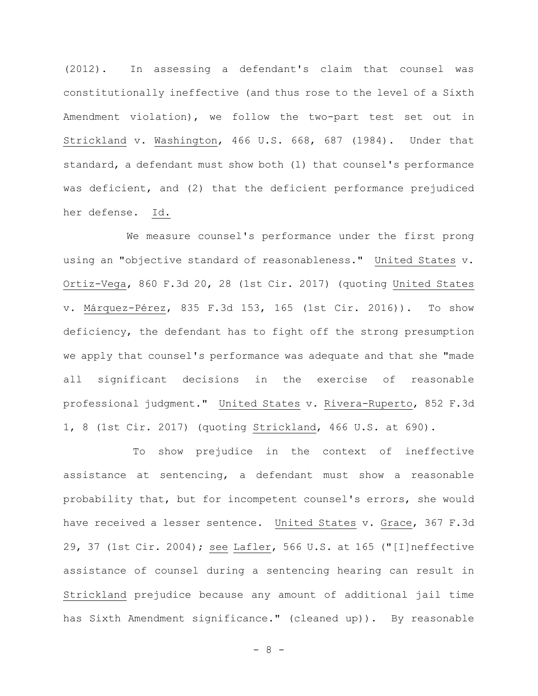(2012). In assessing a defendant's claim that counsel was constitutionally ineffective (and thus rose to the level of a Sixth Amendment violation), we follow the two-part test set out in Strickland v. Washington, 466 U.S. 668, 687 (1984). Under that standard, a defendant must show both (1) that counsel's performance was deficient, and (2) that the deficient performance prejudiced her defense. Id.

We measure counsel's performance under the first prong using an "objective standard of reasonableness." United States v. Ortiz-Vega, 860 F.3d 20, 28 (1st Cir. 2017) (quoting United States v. Márquez-Pérez, 835 F.3d 153, 165 (1st Cir. 2016)). To show deficiency, the defendant has to fight off the strong presumption we apply that counsel's performance was adequate and that she "made all significant decisions in the exercise of reasonable professional judgment." United States v. Rivera-Ruperto, 852 F.3d 1, 8 (1st Cir. 2017) (quoting Strickland, 466 U.S. at 690).

To show prejudice in the context of ineffective assistance at sentencing, a defendant must show a reasonable probability that, but for incompetent counsel's errors, she would have received a lesser sentence. United States v. Grace, 367 F.3d 29, 37 (1st Cir. 2004); see Lafler, 566 U.S. at 165 ("[I]neffective assistance of counsel during a sentencing hearing can result in Strickland prejudice because any amount of additional jail time has Sixth Amendment significance." (cleaned up)). By reasonable

 $- 8 -$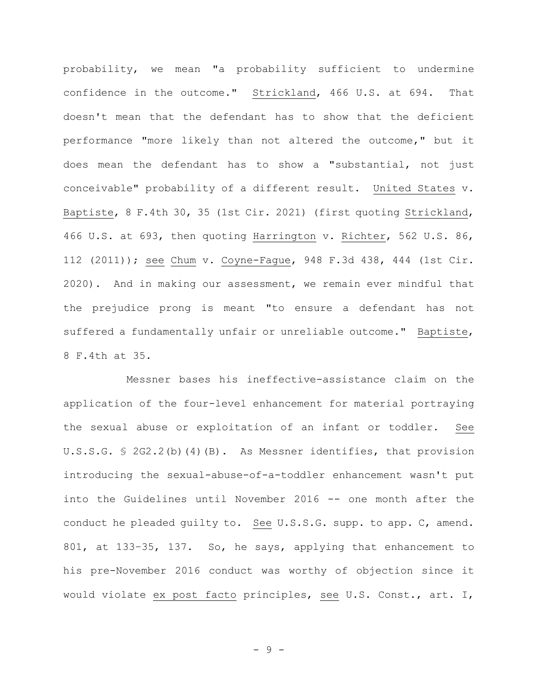probability, we mean "a probability sufficient to undermine confidence in the outcome." Strickland, 466 U.S. at 694. That doesn't mean that the defendant has to show that the deficient performance "more likely than not altered the outcome," but it does mean the defendant has to show a "substantial, not just conceivable" probability of a different result. United States v. Baptiste, 8 F.4th 30, 35 (1st Cir. 2021) (first quoting Strickland, 466 U.S. at 693, then quoting Harrington v. Richter, 562 U.S. 86, 112 (2011)); see Chum v. Coyne-Fague, 948 F.3d 438, 444 (1st Cir. 2020). And in making our assessment, we remain ever mindful that the prejudice prong is meant "to ensure a defendant has not suffered a fundamentally unfair or unreliable outcome." Baptiste, 8 F.4th at 35.

Messner bases his ineffective-assistance claim on the application of the four-level enhancement for material portraying the sexual abuse or exploitation of an infant or toddler. See U.S.S.G. § 2G2.2(b)(4)(B). As Messner identifies, that provision introducing the sexual-abuse-of-a-toddler enhancement wasn't put into the Guidelines until November 2016 -- one month after the conduct he pleaded guilty to. See U.S.S.G. supp. to app. C, amend. 801, at 133–35, 137. So, he says, applying that enhancement to his pre-November 2016 conduct was worthy of objection since it would violate ex post facto principles, see U.S. Const., art. I,

- 9 -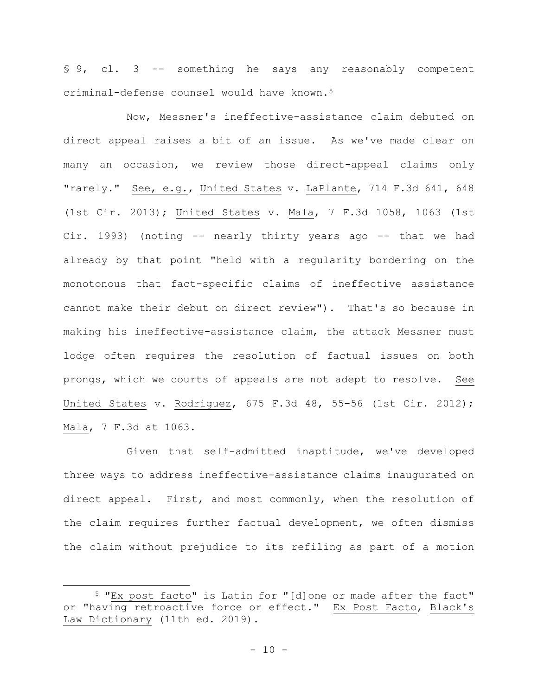§ 9, cl. 3 -- something he says any reasonably competent criminal-defense counsel would have known.<sup>5</sup>

Now, Messner's ineffective-assistance claim debuted on direct appeal raises a bit of an issue. As we've made clear on many an occasion, we review those direct-appeal claims only "rarely." See, e.g., United States v. LaPlante, 714 F.3d 641, 648 (1st Cir. 2013); United States v. Mala, 7 F.3d 1058, 1063 (1st Cir. 1993) (noting -- nearly thirty years ago -- that we had already by that point "held with a regularity bordering on the monotonous that fact-specific claims of ineffective assistance cannot make their debut on direct review"). That's so because in making his ineffective-assistance claim, the attack Messner must lodge often requires the resolution of factual issues on both prongs, which we courts of appeals are not adept to resolve. See United States v. Rodriguez, 675 F.3d 48, 55–56 (1st Cir. 2012); Mala, 7 F.3d at 1063.

Given that self-admitted inaptitude, we've developed three ways to address ineffective-assistance claims inaugurated on direct appeal. First, and most commonly, when the resolution of the claim requires further factual development, we often dismiss the claim without prejudice to its refiling as part of a motion

<sup>5</sup> "Ex post facto" is Latin for "[d]one or made after the fact" or "having retroactive force or effect." Ex Post Facto, Black's Law Dictionary (11th ed. 2019).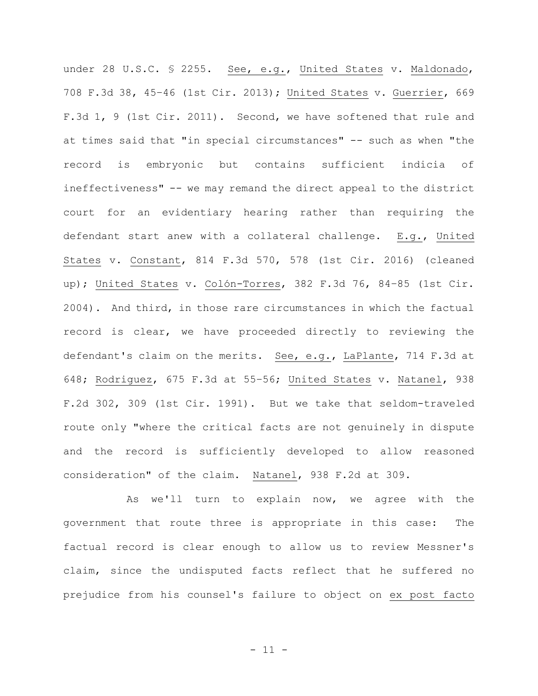under 28 U.S.C. § 2255. See, e.g., United States v. Maldonado, 708 F.3d 38, 45–46 (1st Cir. 2013); United States v. Guerrier, 669 F.3d 1, 9 (1st Cir. 2011). Second, we have softened that rule and at times said that "in special circumstances" -- such as when "the record is embryonic but contains sufficient indicia of ineffectiveness" -- we may remand the direct appeal to the district court for an evidentiary hearing rather than requiring the defendant start anew with a collateral challenge. E.g., United States v. Constant, 814 F.3d 570, 578 (1st Cir. 2016) (cleaned up); United States v. Colón-Torres, 382 F.3d 76, 84–85 (1st Cir. 2004). And third, in those rare circumstances in which the factual record is clear, we have proceeded directly to reviewing the defendant's claim on the merits. See, e.g., LaPlante, 714 F.3d at 648; Rodriguez, 675 F.3d at 55–56; United States v. Natanel, 938 F.2d 302, 309 (1st Cir. 1991). But we take that seldom-traveled route only "where the critical facts are not genuinely in dispute and the record is sufficiently developed to allow reasoned consideration" of the claim. Natanel, 938 F.2d at 309.

As we'll turn to explain now, we agree with the government that route three is appropriate in this case: The factual record is clear enough to allow us to review Messner's claim, since the undisputed facts reflect that he suffered no prejudice from his counsel's failure to object on ex post facto

 $-11 -$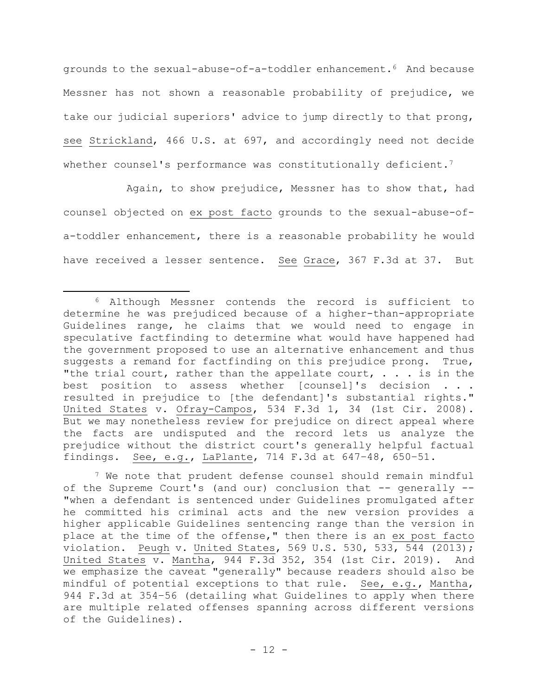grounds to the sexual-abuse-of-a-toddler enhancement.6 And because Messner has not shown a reasonable probability of prejudice, we take our judicial superiors' advice to jump directly to that prong, see Strickland, 466 U.S. at 697, and accordingly need not decide whether counsel's performance was constitutionally deficient.<sup>7</sup>

Again, to show prejudice, Messner has to show that, had counsel objected on ex post facto grounds to the sexual-abuse-ofa-toddler enhancement, there is a reasonable probability he would have received a lesser sentence. See Grace, 367 F.3d at 37. But

<sup>7</sup> We note that prudent defense counsel should remain mindful of the Supreme Court's (and our) conclusion that -- generally -- "when a defendant is sentenced under Guidelines promulgated after he committed his criminal acts and the new version provides a higher applicable Guidelines sentencing range than the version in place at the time of the offense," then there is an ex post facto violation. Peugh v. United States, 569 U.S. 530, 533, 544 (2013); United States v. Mantha, 944 F.3d 352, 354 (1st Cir. 2019). And we emphasize the caveat "generally" because readers should also be mindful of potential exceptions to that rule. See, e.g., Mantha, 944 F.3d at 354–56 (detailing what Guidelines to apply when there are multiple related offenses spanning across different versions of the Guidelines).

<sup>6</sup> Although Messner contends the record is sufficient to determine he was prejudiced because of a higher-than-appropriate Guidelines range, he claims that we would need to engage in speculative factfinding to determine what would have happened had the government proposed to use an alternative enhancement and thus suggests a remand for factfinding on this prejudice prong. True, "the trial court, rather than the appellate court,  $\ldots$  is in the best position to assess whether [counsel]'s decision . . . resulted in prejudice to [the defendant]'s substantial rights." United States v. Ofray-Campos, 534 F.3d 1, 34 (1st Cir. 2008). But we may nonetheless review for prejudice on direct appeal where the facts are undisputed and the record lets us analyze the prejudice without the district court's generally helpful factual findings. See, e.g., LaPlante, 714 F.3d at 647–48, 650–51.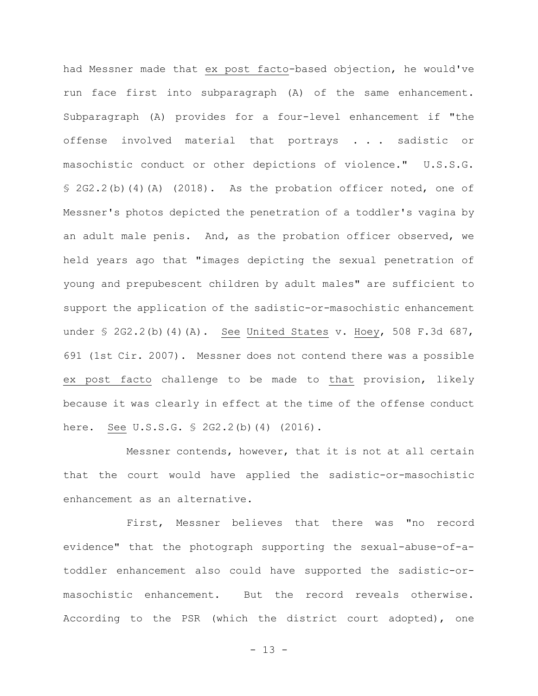had Messner made that ex post facto-based objection, he would've run face first into subparagraph (A) of the same enhancement. Subparagraph (A) provides for a four-level enhancement if "the offense involved material that portrays . . . sadistic or masochistic conduct or other depictions of violence." U.S.S.G. § 2G2.2(b)(4)(A) (2018). As the probation officer noted, one of Messner's photos depicted the penetration of a toddler's vagina by an adult male penis. And, as the probation officer observed, we held years ago that "images depicting the sexual penetration of young and prepubescent children by adult males" are sufficient to support the application of the sadistic-or-masochistic enhancement under  $\leq$  2G2.2(b)(4)(A). See United States v. Hoey, 508 F.3d 687, 691 (1st Cir. 2007). Messner does not contend there was a possible ex post facto challenge to be made to that provision, likely because it was clearly in effect at the time of the offense conduct here. See U.S.S.G. § 2G2.2(b)(4) (2016).

Messner contends, however, that it is not at all certain that the court would have applied the sadistic-or-masochistic enhancement as an alternative.

First, Messner believes that there was "no record evidence" that the photograph supporting the sexual-abuse-of-atoddler enhancement also could have supported the sadistic-ormasochistic enhancement. But the record reveals otherwise. According to the PSR (which the district court adopted), one

 $- 13 -$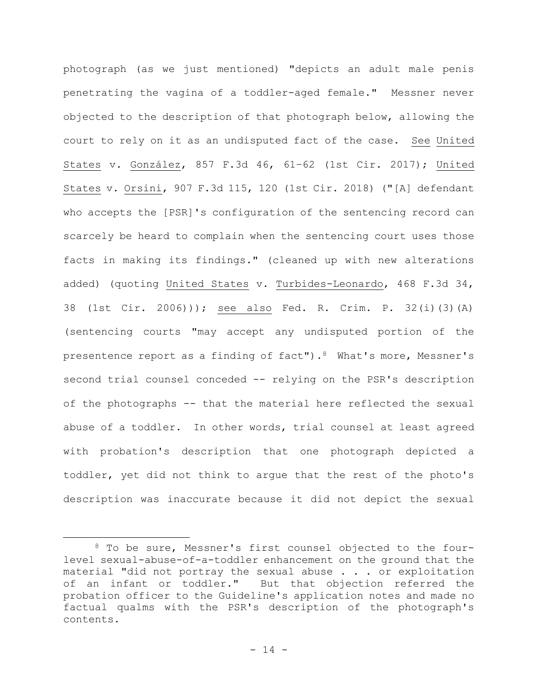photograph (as we just mentioned) "depicts an adult male penis penetrating the vagina of a toddler-aged female." Messner never objected to the description of that photograph below, allowing the court to rely on it as an undisputed fact of the case. See United States v. González, 857 F.3d 46, 61–62 (1st Cir. 2017); United States v. Orsini, 907 F.3d 115, 120 (1st Cir. 2018) ("[A] defendant who accepts the [PSR]'s configuration of the sentencing record can scarcely be heard to complain when the sentencing court uses those facts in making its findings." (cleaned up with new alterations added) (quoting United States v. Turbides-Leonardo, 468 F.3d 34, 38 (1st Cir. 2006))); see also Fed. R. Crim. P. 32(i)(3)(A) (sentencing courts "may accept any undisputed portion of the presentence report as a finding of fact"). $8$  What's more, Messner's second trial counsel conceded -- relying on the PSR's description of the photographs -- that the material here reflected the sexual abuse of a toddler. In other words, trial counsel at least agreed with probation's description that one photograph depicted a toddler, yet did not think to argue that the rest of the photo's description was inaccurate because it did not depict the sexual

<sup>8</sup> To be sure, Messner's first counsel objected to the fourlevel sexual-abuse-of-a-toddler enhancement on the ground that the material "did not portray the sexual abuse . . . or exploitation of an infant or toddler." But that objection referred the probation officer to the Guideline's application notes and made no factual qualms with the PSR's description of the photograph's contents.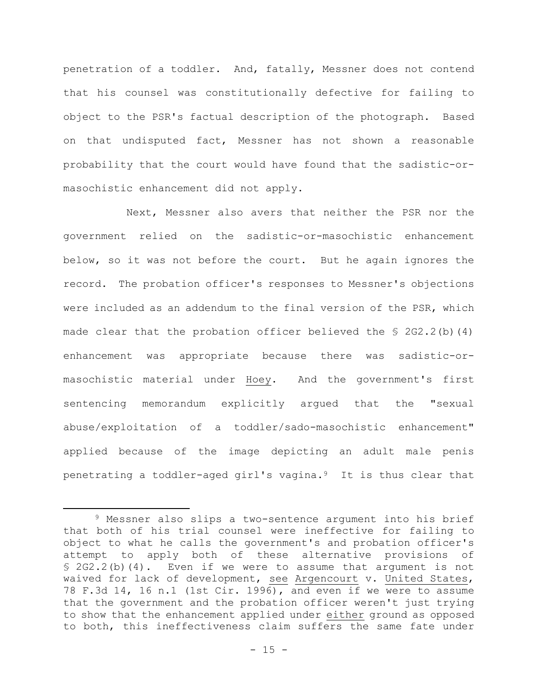penetration of a toddler. And, fatally, Messner does not contend that his counsel was constitutionally defective for failing to object to the PSR's factual description of the photograph. Based on that undisputed fact, Messner has not shown a reasonable probability that the court would have found that the sadistic-ormasochistic enhancement did not apply.

Next, Messner also avers that neither the PSR nor the government relied on the sadistic-or-masochistic enhancement below, so it was not before the court. But he again ignores the record. The probation officer's responses to Messner's objections were included as an addendum to the final version of the PSR, which made clear that the probation officer believed the  $\S$  2G2.2(b)(4) enhancement was appropriate because there was sadistic-ormasochistic material under Hoey. And the government's first sentencing memorandum explicitly argued that the "sexual abuse/exploitation of a toddler/sado-masochistic enhancement" applied because of the image depicting an adult male penis penetrating a toddler-aged girl's vagina.9 It is thus clear that

<sup>9</sup> Messner also slips a two-sentence argument into his brief that both of his trial counsel were ineffective for failing to object to what he calls the government's and probation officer's attempt to apply both of these alternative provisions of § 2G2.2(b)(4). Even if we were to assume that argument is not waived for lack of development, see Argencourt v. United States, 78 F.3d 14, 16 n.1 (1st Cir. 1996), and even if we were to assume that the government and the probation officer weren't just trying to show that the enhancement applied under either ground as opposed to both, this ineffectiveness claim suffers the same fate under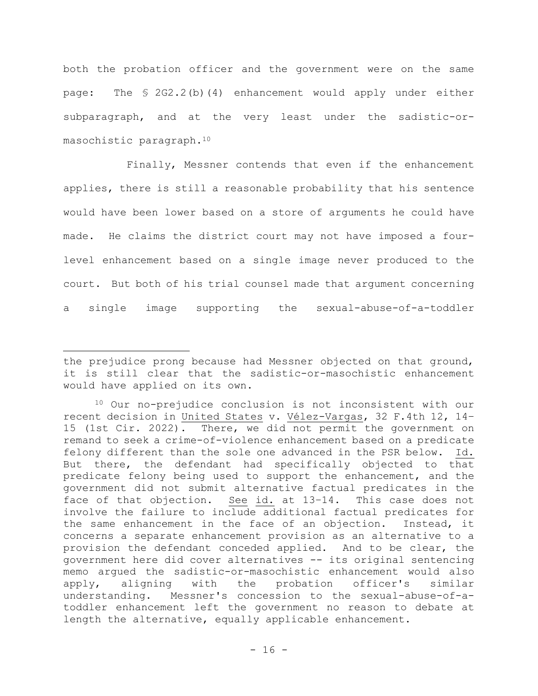both the probation officer and the government were on the same page: The § 2G2.2(b)(4) enhancement would apply under either subparagraph, and at the very least under the sadistic-ormasochistic paragraph.<sup>10</sup>

Finally, Messner contends that even if the enhancement applies, there is still a reasonable probability that his sentence would have been lower based on a store of arguments he could have made. He claims the district court may not have imposed a fourlevel enhancement based on a single image never produced to the court. But both of his trial counsel made that argument concerning a single image supporting the sexual-abuse-of-a-toddler

the prejudice prong because had Messner objected on that ground, it is still clear that the sadistic-or-masochistic enhancement would have applied on its own.

<sup>10</sup> Our no-prejudice conclusion is not inconsistent with our recent decision in United States v. Vélez-Vargas, 32 F.4th 12, 14– 15 (1st Cir. 2022). There, we did not permit the government on remand to seek a crime-of-violence enhancement based on a predicate felony different than the sole one advanced in the PSR below. Id. But there, the defendant had specifically objected to that predicate felony being used to support the enhancement, and the government did not submit alternative factual predicates in the face of that objection. See id. at 13–14. This case does not involve the failure to include additional factual predicates for the same enhancement in the face of an objection. Instead, it concerns a separate enhancement provision as an alternative to a provision the defendant conceded applied. And to be clear, the government here did cover alternatives -- its original sentencing memo argued the sadistic-or-masochistic enhancement would also apply, aligning with the probation officer's similar understanding. Messner's concession to the sexual-abuse-of-atoddler enhancement left the government no reason to debate at length the alternative, equally applicable enhancement.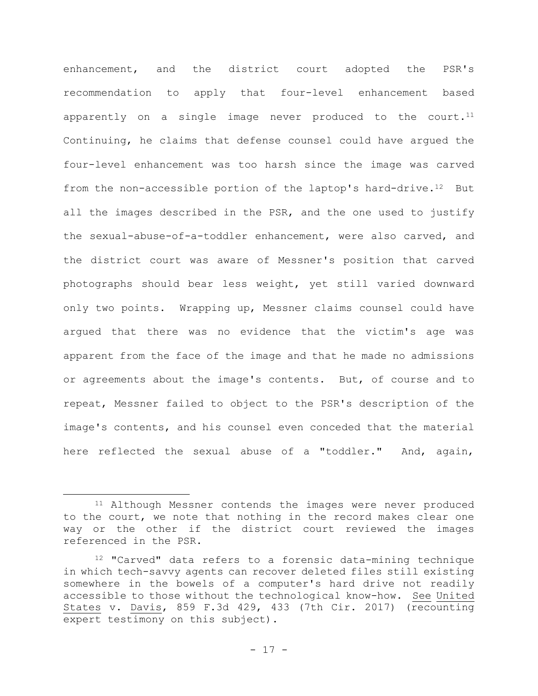enhancement, and the district court adopted the PSR's recommendation to apply that four-level enhancement based apparently on a single image never produced to the court.<sup>11</sup> Continuing, he claims that defense counsel could have argued the four-level enhancement was too harsh since the image was carved from the non-accessible portion of the laptop's hard-drive.<sup>12</sup> But all the images described in the PSR, and the one used to justify the sexual-abuse-of-a-toddler enhancement, were also carved, and the district court was aware of Messner's position that carved photographs should bear less weight, yet still varied downward only two points. Wrapping up, Messner claims counsel could have argued that there was no evidence that the victim's age was apparent from the face of the image and that he made no admissions or agreements about the image's contents. But, of course and to repeat, Messner failed to object to the PSR's description of the image's contents, and his counsel even conceded that the material here reflected the sexual abuse of a "toddler." And, again,

<sup>&</sup>lt;sup>11</sup> Although Messner contends the images were never produced to the court, we note that nothing in the record makes clear one way or the other if the district court reviewed the images referenced in the PSR.

<sup>12</sup> "Carved" data refers to a forensic data-mining technique in which tech-savvy agents can recover deleted files still existing somewhere in the bowels of a computer's hard drive not readily accessible to those without the technological know-how. See United States v. Davis, 859 F.3d 429, 433 (7th Cir. 2017) (recounting expert testimony on this subject).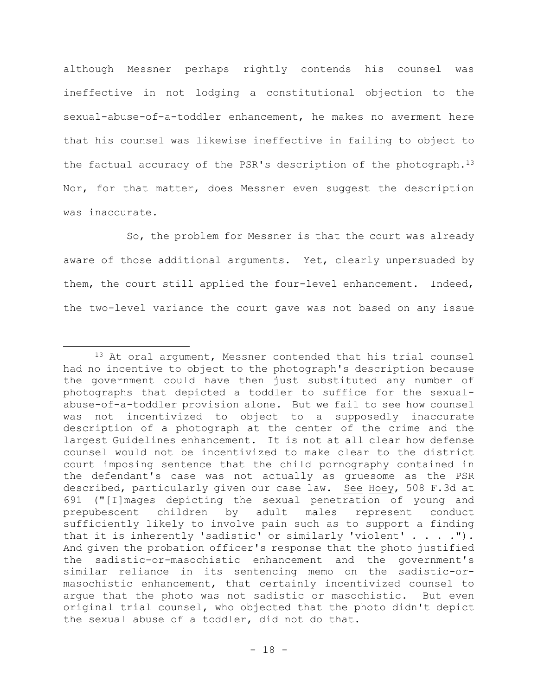although Messner perhaps rightly contends his counsel was ineffective in not lodging a constitutional objection to the sexual-abuse-of-a-toddler enhancement, he makes no averment here that his counsel was likewise ineffective in failing to object to the factual accuracy of the PSR's description of the photograph.<sup>13</sup> Nor, for that matter, does Messner even suggest the description was inaccurate.

So, the problem for Messner is that the court was already aware of those additional arguments. Yet, clearly unpersuaded by them, the court still applied the four-level enhancement. Indeed, the two-level variance the court gave was not based on any issue

<sup>&</sup>lt;sup>13</sup> At oral argument, Messner contended that his trial counsel had no incentive to object to the photograph's description because the government could have then just substituted any number of photographs that depicted a toddler to suffice for the sexualabuse-of-a-toddler provision alone. But we fail to see how counsel was not incentivized to object to a supposedly inaccurate description of a photograph at the center of the crime and the largest Guidelines enhancement. It is not at all clear how defense counsel would not be incentivized to make clear to the district court imposing sentence that the child pornography contained in the defendant's case was not actually as gruesome as the PSR described, particularly given our case law. See Hoey, 508 F.3d at 691 ("[I]mages depicting the sexual penetration of young and prepubescent children by adult males represent conduct sufficiently likely to involve pain such as to support a finding that it is inherently 'sadistic' or similarly 'violent' . . . ."). And given the probation officer's response that the photo justified the sadistic-or-masochistic enhancement and the government's similar reliance in its sentencing memo on the sadistic-ormasochistic enhancement, that certainly incentivized counsel to argue that the photo was not sadistic or masochistic. But even original trial counsel, who objected that the photo didn't depict the sexual abuse of a toddler, did not do that.